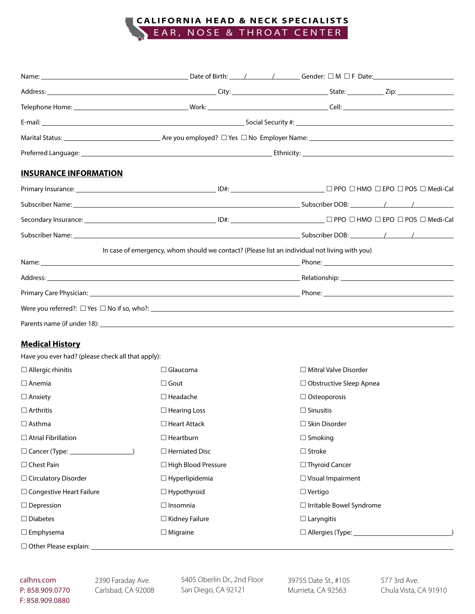# **C AL I F OR N IA H E A D & NECK SPECIALIST S** EAR, NOSE & THROAT CENTER

| <b>INSURANCE INFORMATION</b> |                                                                                               |                                                                                                                                           |  |  |
|------------------------------|-----------------------------------------------------------------------------------------------|-------------------------------------------------------------------------------------------------------------------------------------------|--|--|
|                              |                                                                                               |                                                                                                                                           |  |  |
|                              |                                                                                               |                                                                                                                                           |  |  |
|                              |                                                                                               | $\textsf{Secondary Insurance:}\textcolor{red}{\pmb{\text{S}econdary Insurance:}\textcolor{red}{\pmb{\text{S}econdary Insurance:}\text{}}$ |  |  |
|                              |                                                                                               |                                                                                                                                           |  |  |
|                              | In case of emergency, whom should we contact? (Please list an individual not living with you) |                                                                                                                                           |  |  |
|                              |                                                                                               |                                                                                                                                           |  |  |
|                              |                                                                                               |                                                                                                                                           |  |  |
|                              |                                                                                               |                                                                                                                                           |  |  |
|                              |                                                                                               |                                                                                                                                           |  |  |
|                              |                                                                                               |                                                                                                                                           |  |  |

### **Medical History**

Have you ever had? (please check all that apply):

| $\Box$ Allergic rhinitis        | $\Box$ Glaucoma            | $\Box$ Mitral Valve Disorder    |
|---------------------------------|----------------------------|---------------------------------|
| $\Box$ Anemia                   | $\Box$ Gout                | $\Box$ Obstructive Sleep Apnea  |
| $\Box$ Anxiety                  | $\Box$ Headache            | $\Box$ Osteoporosis             |
| $\Box$ Arthritis                | $\Box$ Hearing Loss        | $\Box$ Sinusitis                |
| $\Box$ Asthma                   | $\Box$ Heart Attack        | $\Box$ Skin Disorder            |
| $\Box$ Atrial Fibrillation      | $\Box$ Heartburn           | $\Box$ Smoking                  |
|                                 | $\Box$ Herniated Disc      | $\Box$ Stroke                   |
| $\Box$ Chest Pain               | $\Box$ High Blood Pressure | $\Box$ Thyroid Cancer           |
| $\Box$ Circulatory Disorder     | $\Box$ Hyperlipidemia      | $\Box$ Visual Impairment        |
| $\Box$ Congestive Heart Failure | $\Box$ Hypothyroid         | $\Box$ Vertigo                  |
| $\Box$ Depression               | $\Box$ Insomnia            | $\Box$ Irritable Bowel Syndrome |
| $\Box$ Diabetes                 | $\Box$ Kidney Failure      | $\Box$ Laryngitis               |
| $\Box$ Emphysema                | $\Box$ Migraine            |                                 |
| □ Other Please explain:         |                            |                                 |

2390 Faraday Ave. Carlsbad, CA 92008 5405 Oberlin Dr., 2nd Floor San Diego, CA 92121

39755 Date St., #105 Murrieta, CA 92563

577 3rd Ave. Chula Vista, CA 91910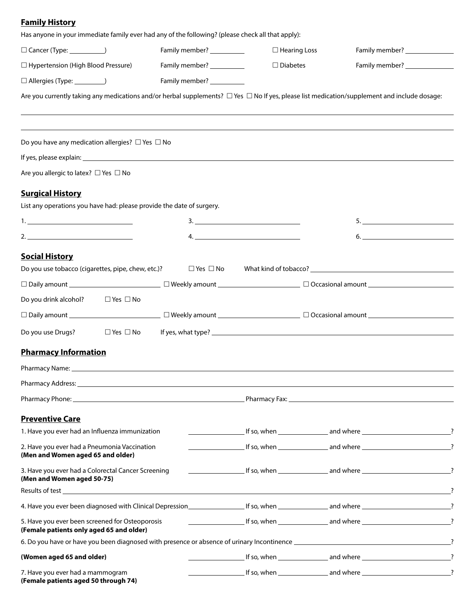# **Family History**

**(Female patients aged 50 through 74)**

| Has anyone in your immediate family ever had any of the following? (please check all that apply):                                                                                                                              |                            |                                       |                                                                                                                                                                                                                                        |
|--------------------------------------------------------------------------------------------------------------------------------------------------------------------------------------------------------------------------------|----------------------------|---------------------------------------|----------------------------------------------------------------------------------------------------------------------------------------------------------------------------------------------------------------------------------------|
| Cancer (Type: ______________)                                                                                                                                                                                                  | Family member? __________  | $\Box$ Hearing Loss                   |                                                                                                                                                                                                                                        |
| $\Box$ Hypertension (High Blood Pressure)                                                                                                                                                                                      | Family member? ___________ | $\Box$ Diabetes                       | Family member?<br><u>[</u> [11] The mail of the mail of the mail of the mail of the mail of the mail of the mail of the mail of the mail of the mail of the mail of the mail of the mail of the mail of the mail of the mail of the ma |
| $\Box$ Allergies (Type: ___________)                                                                                                                                                                                           | Family member? __________  |                                       |                                                                                                                                                                                                                                        |
| Are you currently taking any medications and/or herbal supplements? $\Box$ Yes $\Box$ No If yes, please list medication/supplement and include dosage:                                                                         |                            |                                       |                                                                                                                                                                                                                                        |
|                                                                                                                                                                                                                                |                            |                                       |                                                                                                                                                                                                                                        |
| Do you have any medication allergies? $\Box$ Yes $\Box$ No                                                                                                                                                                     |                            |                                       |                                                                                                                                                                                                                                        |
|                                                                                                                                                                                                                                |                            |                                       |                                                                                                                                                                                                                                        |
| Are you allergic to latex? □ Yes □ No                                                                                                                                                                                          |                            |                                       |                                                                                                                                                                                                                                        |
| <b>Surgical History</b>                                                                                                                                                                                                        |                            |                                       |                                                                                                                                                                                                                                        |
| List any operations you have had: please provide the date of surgery.                                                                                                                                                          |                            |                                       |                                                                                                                                                                                                                                        |
| <u>1. ________________________________</u>                                                                                                                                                                                     |                            | $\begin{tabular}{c} 3. \end{tabular}$ |                                                                                                                                                                                                                                        |
|                                                                                                                                                                                                                                |                            | 4.                                    | $6.$ $\overline{\phantom{a}}$                                                                                                                                                                                                          |
| <b>Social History</b>                                                                                                                                                                                                          |                            |                                       |                                                                                                                                                                                                                                        |
| Do you use tobacco (cigarettes, pipe, chew, etc.)?                                                                                                                                                                             |                            |                                       | $\Box$ Yes $\Box$ No What kind of tobacco?                                                                                                                                                                                             |
|                                                                                                                                                                                                                                |                            |                                       |                                                                                                                                                                                                                                        |
| Do you drink alcohol?<br>$\Box$ Yes $\Box$ No                                                                                                                                                                                  |                            |                                       |                                                                                                                                                                                                                                        |
|                                                                                                                                                                                                                                |                            |                                       |                                                                                                                                                                                                                                        |
| Do you use Drugs?<br>$\Box$ Yes $\Box$ No                                                                                                                                                                                      |                            |                                       |                                                                                                                                                                                                                                        |
|                                                                                                                                                                                                                                |                            |                                       |                                                                                                                                                                                                                                        |
| <b>Pharmacy Information</b>                                                                                                                                                                                                    |                            |                                       |                                                                                                                                                                                                                                        |
| Pharmacy Name: University of the Community of the Community of the Community of the Community of the Community of the Community of the Community of the Community of the Community of the Community of the Community of the Co |                            |                                       |                                                                                                                                                                                                                                        |
|                                                                                                                                                                                                                                |                            |                                       |                                                                                                                                                                                                                                        |
|                                                                                                                                                                                                                                |                            |                                       |                                                                                                                                                                                                                                        |
| <b>Preventive Care</b>                                                                                                                                                                                                         |                            |                                       |                                                                                                                                                                                                                                        |
| 1. Have you ever had an Influenza immunization                                                                                                                                                                                 |                            |                                       |                                                                                                                                                                                                                                        |
| 2. Have you ever had a Pneumonia Vaccination<br>(Men and Women aged 65 and older)                                                                                                                                              |                            |                                       |                                                                                                                                                                                                                                        |
| 3. Have you ever had a Colorectal Cancer Screening<br>(Men and Women aged 50-75)                                                                                                                                               |                            |                                       |                                                                                                                                                                                                                                        |
| Results of test <b>the community of the community of the community of the community of test</b>                                                                                                                                |                            |                                       |                                                                                                                                                                                                                                        |
| 4. Have you ever been diagnosed with Clinical Depression entitled by the state of the state of the state of the state of the state of the state of the state of the state of the state of the state of the state of the state  |                            |                                       |                                                                                                                                                                                                                                        |
| 5. Have you ever been screened for Osteoporosis<br>(Female patients only aged 65 and older)                                                                                                                                    |                            |                                       |                                                                                                                                                                                                                                        |
|                                                                                                                                                                                                                                |                            |                                       |                                                                                                                                                                                                                                        |
| (Women aged 65 and older)                                                                                                                                                                                                      |                            |                                       |                                                                                                                                                                                                                                        |
| 7. Have you ever had a mammogram                                                                                                                                                                                               |                            |                                       |                                                                                                                                                                                                                                        |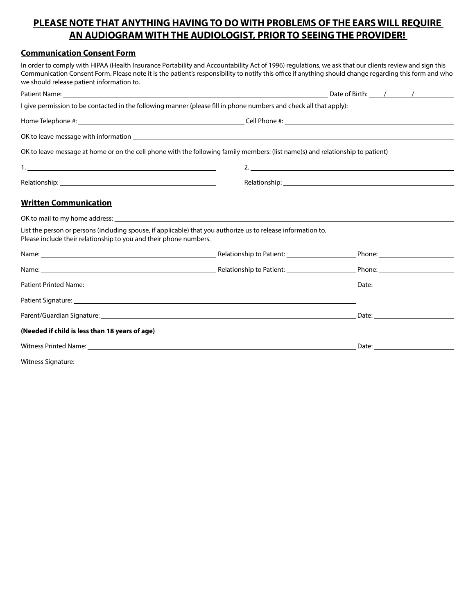## **PLEASE NOTE THAT ANYTHING HAVING TO DO WITH PROBLEMS OF THE EARS WILL REQUIRE AN AUDIOGRAM WITH THE AUDIOLOGIST, PRIOR TO SEEING THE PROVIDER!**

### **Communication Consent Form**

In order to comply with HIPAA (Health Insurance Portability and Accountability Act of 1996) regulations, we ask that our clients review and sign this Communication Consent Form. Please note it is the patient's responsibility to notify this office if anything should change regarding this form and who we should release patient information to.

| I give permission to be contacted in the following manner (please fill in phone numbers and check all that apply):                                                                                                             |                             |                                                                                                                                                                                                                               |  |  |
|--------------------------------------------------------------------------------------------------------------------------------------------------------------------------------------------------------------------------------|-----------------------------|-------------------------------------------------------------------------------------------------------------------------------------------------------------------------------------------------------------------------------|--|--|
|                                                                                                                                                                                                                                |                             |                                                                                                                                                                                                                               |  |  |
|                                                                                                                                                                                                                                |                             |                                                                                                                                                                                                                               |  |  |
| OK to leave message at home or on the cell phone with the following family members: (list name(s) and relationship to patient)                                                                                                 |                             |                                                                                                                                                                                                                               |  |  |
|                                                                                                                                                                                                                                | 2. $\overline{\phantom{a}}$ |                                                                                                                                                                                                                               |  |  |
|                                                                                                                                                                                                                                |                             |                                                                                                                                                                                                                               |  |  |
| <b>Written Communication</b>                                                                                                                                                                                                   |                             |                                                                                                                                                                                                                               |  |  |
| OK to mail to my home address: example and the set of the set of the set of the set of the set of the set of the set of the set of the set of the set of the set of the set of the set of the set of the set of the set of the |                             |                                                                                                                                                                                                                               |  |  |
| List the person or persons (including spouse, if applicable) that you authorize us to release information to.<br>Please include their relationship to you and their phone numbers.                                             |                             |                                                                                                                                                                                                                               |  |  |
|                                                                                                                                                                                                                                |                             |                                                                                                                                                                                                                               |  |  |
|                                                                                                                                                                                                                                |                             |                                                                                                                                                                                                                               |  |  |
|                                                                                                                                                                                                                                |                             |                                                                                                                                                                                                                               |  |  |
| Patient Signature: Note that the contract of the contract of the contract of the contract of the contract of the contract of the contract of the contract of the contract of the contract of the contract of the contract of t |                             |                                                                                                                                                                                                                               |  |  |
|                                                                                                                                                                                                                                |                             |                                                                                                                                                                                                                               |  |  |
| (Needed if child is less than 18 years of age)                                                                                                                                                                                 |                             |                                                                                                                                                                                                                               |  |  |
| Witness Printed Name: 1988 Contract Contract Contract Contract Contract Contract Contract Contract Contract Contract Contract Contract Contract Contract Contract Contract Contract Contract Contract Contract Contract Contra |                             | Date: and the contract of the contract of the contract of the contract of the contract of the contract of the contract of the contract of the contract of the contract of the contract of the contract of the contract of the |  |  |

Witness Signature: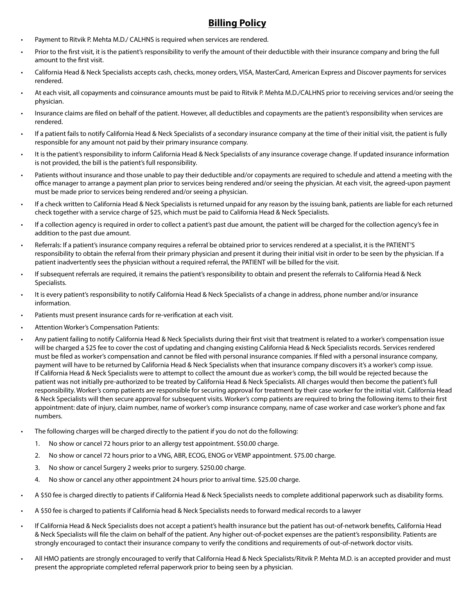# **Billing Policy**

- Payment to Ritvik P. Mehta M.D./ CALHNS is required when services are rendered.
- Prior to the first visit, it is the patient's responsibility to verify the amount of their deductible with their insurance company and bring the full amount to the first visit.
- California Head & Neck Specialists accepts cash, checks, money orders, VISA, MasterCard, American Express and Discover payments for services rendered.
- At each visit, all copayments and coinsurance amounts must be paid to Ritvik P. Mehta M.D./CALHNS prior to receiving services and/or seeing the physician.
- Insurance claims are filed on behalf of the patient. However, all deductibles and copayments are the patient's responsibility when services are rendered.
- If a patient fails to notify California Head & Neck Specialists of a secondary insurance company at the time of their initial visit, the patient is fully responsible for any amount not paid by their primary insurance company.
- It is the patient's responsibility to inform California Head & Neck Specialists of any insurance coverage change. If updated insurance information is not provided, the bill is the patient's full responsibility.
- Patients without insurance and those unable to pay their deductible and/or copayments are required to schedule and attend a meeting with the office manager to arrange a payment plan prior to services being rendered and/or seeing the physician. At each visit, the agreed-upon payment must be made prior to services being rendered and/or seeing a physician.
- If a check written to California Head & Neck Specialists is returned unpaid for any reason by the issuing bank, patients are liable for each returned check together with a service charge of \$25, which must be paid to California Head & Neck Specialists.
- If a collection agency is required in order to collect a patient's past due amount, the patient will be charged for the collection agency's fee in addition to the past due amount.
- Referrals: If a patient's insurance company requires a referral be obtained prior to services rendered at a specialist, it is the PATIENT'S responsibility to obtain the referral from their primary physician and present it during their initial visit in order to be seen by the physician. If a patient inadvertently sees the physician without a required referral, the PATIENT will be billed for the visit.
- If subsequent referrals are required, it remains the patient's responsibility to obtain and present the referrals to California Head & Neck Specialists.
- It is every patient's responsibility to notify California Head & Neck Specialists of a change in address, phone number and/or insurance information.
- Patients must present insurance cards for re-verification at each visit.
- Attention Worker's Compensation Patients:
- Any patient failing to notify California Head & Neck Specialists during their first visit that treatment is related to a worker's compensation issue will be charged a \$25 fee to cover the cost of updating and changing existing California Head & Neck Specialists records. Services rendered must be filed as worker's compensation and cannot be filed with personal insurance companies. If filed with a personal insurance company, payment will have to be returned by California Head & Neck Specialists when that insurance company discovers it's a worker's comp issue. If California Head & Neck Specialists were to attempt to collect the amount due as worker's comp, the bill would be rejected because the patient was not initially pre-authorized to be treated by California Head & Neck Specialists. All charges would then become the patient's full responsibility. Worker's comp patients are responsible for securing approval for treatment by their case worker for the initial visit. California Head & Neck Specialists will then secure approval for subsequent visits. Worker's comp patients are required to bring the following items to their first appointment: date of injury, claim number, name of worker's comp insurance company, name of case worker and case worker's phone and fax numbers.
- The following charges will be charged directly to the patient if you do not do the following:
	- 1. No show or cancel 72 hours prior to an allergy test appointment. \$50.00 charge.
	- 2. No show or cancel 72 hours prior to a VNG, ABR, ECOG, ENOG or VEMP appointment. \$75.00 charge.
	- 3. No show or cancel Surgery 2 weeks prior to surgery. \$250.00 charge.
	- 4. No show or cancel any other appointment 24 hours prior to arrival time. \$25.00 charge.
- A \$50 fee is charged directly to patients if California Head & Neck Specialists needs to complete additional paperwork such as disability forms.
- A \$50 fee is charged to patients if California head & Neck Specialists needs to forward medical records to a lawyer
- If California Head & Neck Specialists does not accept a patient's health insurance but the patient has out-of-network benefits, California Head & Neck Specialists will file the claim on behalf of the patient. Any higher out-of-pocket expenses are the patient's responsibility. Patients are strongly encouraged to contact their insurance company to verify the conditions and requirements of out-of-network doctor visits.
- All HMO patients are strongly encouraged to verify that California Head & Neck Specialists/Ritvik P. Mehta M.D. is an accepted provider and must present the appropriate completed referral paperwork prior to being seen by a physician.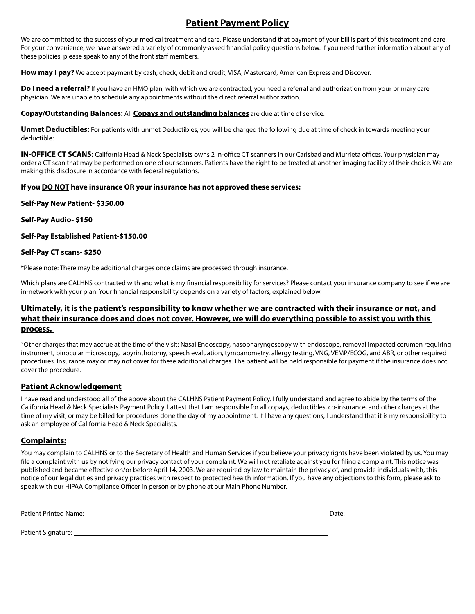# **Patient Payment Policy**

We are committed to the success of your medical treatment and care. Please understand that payment of your bill is part of this treatment and care. For your convenience, we have answered a variety of commonly-asked financial policy questions below. If you need further information about any of these policies, please speak to any of the front staff members.

**How may I pay?** We accept payment by cash, check, debit and credit, VISA, Mastercard, American Express and Discover.

**Do I need a referral?** If you have an HMO plan, with which we are contracted, you need a referral and authorization from your primary care physician. We are unable to schedule any appointments without the direct referral authorization.

#### **Copay/Outstanding Balances:** All **Copays and outstanding balances** are due at time of service.

**Unmet Deductibles:** For patients with unmet Deductibles, you will be charged the following due at time of check in towards meeting your deductible:

**IN-OFFICE CT SCANS:** California Head & Neck Specialists owns 2 in-office CT scanners in our Carlsbad and Murrieta offices. Your physician may order a CT scan that may be performed on one of our scanners. Patients have the right to be treated at another imaging facility of their choice. We are making this disclosure in accordance with federal regulations.

#### **If you DO NOT have insurance OR your insurance has not approved these services:**

#### **Self-Pay New Patient- \$350.00**

#### **Self-Pay Audio- \$150**

#### **Self-Pay Established Patient-\$150.00**

#### **Self-Pay CT scans- \$250**

\*Please note: There may be additional charges once claims are processed through insurance.

Which plans are CALHNS contracted with and what is my financial responsibility for services? Please contact your insurance company to see if we are in-network with your plan. Your financial responsibility depends on a variety of factors, explained below.

### **Ultimately, it is the patient's responsibility to know whether we are contracted with their insurance or not, and what their insurance does and does not cover. However, we will do everything possible to assist you with this process.**

\*Other charges that may accrue at the time of the visit: Nasal Endoscopy, nasopharyngoscopy with endoscope, removal impacted cerumen requiring instrument, binocular microscopy, labyrinthotomy, speech evaluation, tympanometry, allergy testing, VNG, VEMP/ECOG, and ABR, or other required procedures. Insurance may or may not cover for these additional charges. The patient will be held responsible for payment if the insurance does not cover the procedure.

### **Patient Acknowledgement**

I have read and understood all of the above about the CALHNS Patient Payment Policy. I fully understand and agree to abide by the terms of the California Head & Neck Specialists Payment Policy. I attest that I am responsible for all copays, deductibles, co-insurance, and other charges at the time of my visit, or may be billed for procedures done the day of my appointment. If I have any questions, I understand that it is my responsibility to ask an employee of California Head & Neck Specialists.

### **Complaints:**

You may complain to CALHNS or to the Secretary of Health and Human Services if you believe your privacy rights have been violated by us. You may file a complaint with us by notifying our privacy contact of your complaint. We will not retaliate against you for filing a complaint. This notice was published and became effective on/or before April 14, 2003. We are required by law to maintain the privacy of, and provide individuals with, this notice of our legal duties and privacy practices with respect to protected health information. If you have any objections to this form, please ask to speak with our HIPAA Compliance Officer in person or by phone at our Main Phone Number.

Patient Printed Name: Date:

Patient Signature: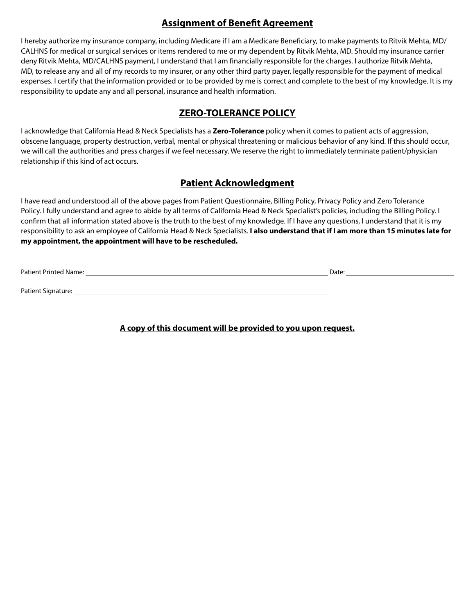# **Assignment of Benefit Agreement**

I hereby authorize my insurance company, including Medicare if I am a Medicare Beneficiary, to make payments to Ritvik Mehta, MD/ CALHNS for medical or surgical services or items rendered to me or my dependent by Ritvik Mehta, MD. Should my insurance carrier deny Ritvik Mehta, MD/CALHNS payment, I understand that I am financially responsible for the charges. I authorize Ritvik Mehta, MD, to release any and all of my records to my insurer, or any other third party payer, legally responsible for the payment of medical expenses. I certify that the information provided or to be provided by me is correct and complete to the best of my knowledge. It is my responsibility to update any and all personal, insurance and health information.

# **ZERO-TOLERANCE POLICY**

I acknowledge that California Head & Neck Specialists has a **Zero-Tolerance** policy when it comes to patient acts of aggression, obscene language, property destruction, verbal, mental or physical threatening or malicious behavior of any kind. If this should occur, we will call the authorities and press charges if we feel necessary. We reserve the right to immediately terminate patient/physician relationship if this kind of act occurs.

## **Patient Acknowledgment**

I have read and understood all of the above pages from Patient Questionnaire, Billing Policy, Privacy Policy and Zero Tolerance Policy. I fully understand and agree to abide by all terms of California Head & Neck Specialist's policies, including the Billing Policy. I confirm that all information stated above is the truth to the best of my knowledge. If I have any questions, I understand that it is my responsibility to ask an employee of California Head & Neck Specialists. **I also understand that if I am more than 15 minutes late for my appointment, the appointment will have to be rescheduled.**

Patient Printed Name: Date:

Patient Signature:

**A copy of this document will be provided to you upon request.**